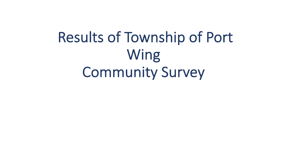Results of Township of Port Wing Community Survey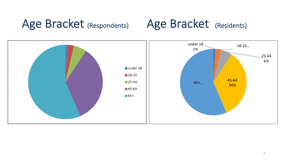## Age Bracket (Respondents) Age Bracket (Residents)

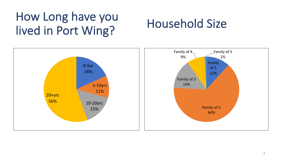# How Long have you lived in Port Wing?<br>
lived in Port Wing?

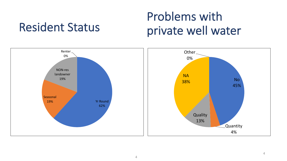## Problems with private well water

### No 45% Quantity 4% **Quality** 13% **NA** 38% Other 0% Yr Round 62% Seasonal 19% NON-res landowner 19% Renter 0%

Resident Status

### 4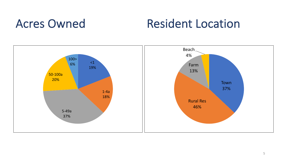## Acres Owned Resident Location

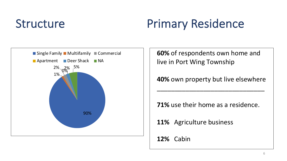# Structure Primary Residence



**60%** of respondents own home and live in Port Wing Township

**40%** own property but live elsewhere

\_\_\_\_\_\_\_\_\_\_\_\_\_\_\_\_\_\_\_\_\_\_\_\_\_\_\_\_\_\_

**71%** use their home as a residence.

**11%** Agriculture business

**12%** Cabin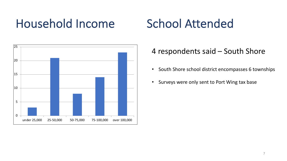## Household Income School Attended



### 4 respondents said – South Shore

- South Shore school district encompasses 6 townships
- Surveys were only sent to Port Wing tax base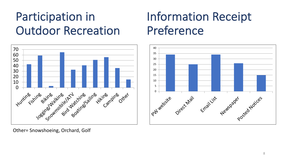# Participation in Outdoor Recreation

## Information Receipt Preference



Other= Snowshoeing, Orchard, Golf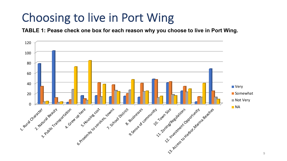## Choosing to live in Port Wing

**TABLE 1: Pease check one box for each reason why you choose to live in Port Wing.**

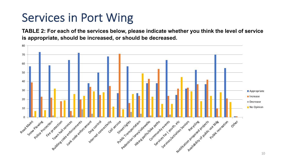# Services in Port Wing

**TABLE 2: For each of the services below, please indicate whether you think the level of service is appropriate, should be increased, or should be decreased.** 

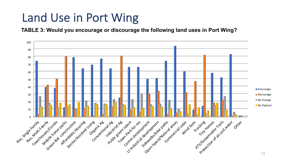## Land Use in Port Wing

**TABLE 3: Would you encourage or discourage the following land uses in Port Wing?** 

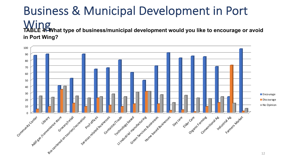## Business & Municipal Development in Port Wing<br>TABLE 49What type of business/municipal development would you like to encourage or avoid **in Port Wing?**

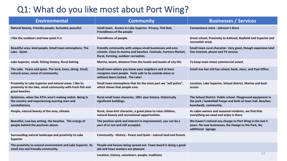## Q1: What do you like most about Port Wing?

| <b>Environmental</b>                                                                                                                     | <b>Community</b>                                                                                                                                                    | <b>Businesses / Services</b>                                                                                                                         |
|------------------------------------------------------------------------------------------------------------------------------------------|---------------------------------------------------------------------------------------------------------------------------------------------------------------------|------------------------------------------------------------------------------------------------------------------------------------------------------|
| Natural beauty, Friendly people, Secluded, peaceful                                                                                      | Small town. Access to Lake Superior. Privacy. Fish Boil,<br><b>Friendliness of the people</b>                                                                       | <b>Convenience store - Johnson's Store</b>                                                                                                           |
| I like the outdoors and how quiet it is                                                                                                  | Friendliness of people.                                                                                                                                             | Great school, Proximity to Ashland, Bayfield and Superior and<br>recreation areas                                                                    |
| Beautiful area, kind people, Small town atmosphere, The<br>Lake. Quiet.                                                                  | Friendly community with unique small businesses and area<br>schools. Close to marina and beaches. Festivals, Farmers Market,<br>Rural, Farming, outdoor recreation. | Small town rural character. Very good, though expensive land<br>line internet, phone and TV service.                                                 |
| Lake Superior, small, fishing history, Rural Setting                                                                                     | Marina, beach, distance from the hustle and bustle of city life.                                                                                                    | To keep main street commercial zoned.                                                                                                                |
| The Lake. Peace and quiet. The land, trees, skiing. Small,<br>natural areas, sense of community.                                         | Small town where you know your neighbors and at least<br>recognize most people. Feels safe to be outside alone or<br>without doors locked. The Lake!                | Small size but still has school, bank, store, and Post Office.                                                                                       |
| Proximity to Lake Superior and natural areas. I like its<br>proximity to the lake, small community with fresh fish and<br>great beaches. | Small town atmosphere that for the most part we "self police",<br>which shows that people care.                                                                     | Location, Lake Superior, School district. Marina and boat<br>access                                                                                  |
| Quietness, when the ATVs aren't making racket. Being in<br>the country and experiencing evening stars and<br>constellations.             | Rural small town character, 100+ year history. Historically<br>significant buildings.                                                                               | The School District. Public school. Playground equipment in<br>the park / basketball hoops and balls at town hall. Beaches,<br>boardwalk, community. |
| People, natural beauty of the area, climate.                                                                                             | Rural, close-knit character, a great place to raise children,<br>natural beauty and recreational opportunities.                                                     | As cabin owners and seasonal residents, we find that<br>everything we need and enjoy is there.                                                       |
| Beautiful, Low key setting, the beaches. The energy of<br>people behind the positives above.                                             | The positive spirit and interest in improvement, you can be a<br>part of or not and still accepted.                                                                 | We haven't noticed any change to Port Wing in the last 4<br>years. No new businesses, No change to the Park, No<br>additional signage.               |
| Surrounding natural landscape and proximity to Lake<br><b>Superior</b>                                                                   | Community - History - Peace and Quiet - natural land and forests                                                                                                    |                                                                                                                                                      |
| The proximity to natural environment and Lake Superior. Its<br>small size and friendly community.                                        | People and houses being spread out. Town board is doing a good<br>job and town workers are pleasant                                                                 |                                                                                                                                                      |
|                                                                                                                                          | Location, history, volunteers, people, traditions                                                                                                                   | 13                                                                                                                                                   |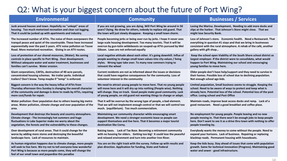### Q2: What is your biggest concern about the future of Port Wing?

| <b>Environmental</b>                                                                                                                                                                                                                                        | <b>Community</b>                                                                                                                                                                             | <b>Businesses / Services</b>                                                                                                                                                       |
|-------------------------------------------------------------------------------------------------------------------------------------------------------------------------------------------------------------------------------------------------------------|----------------------------------------------------------------------------------------------------------------------------------------------------------------------------------------------|------------------------------------------------------------------------------------------------------------------------------------------------------------------------------------|
| Junk around houses and town. Hopefully no "unkept" areas of                                                                                                                                                                                                 | If you are not growing, you are dying. Will Port Wing be around in 50                                                                                                                        | Losing the Marina. Development, Needing to add more docks and                                                                                                                      |
| housing. Too much motorized recreation and clear cut logging.                                                                                                                                                                                               | years? Dying. No draw for others, nobody to replace old guard. That                                                                                                                          | slips at the harbor. That Johnson's Store might close. That we                                                                                                                     |
| That it could be junked up with apartments and industry.                                                                                                                                                                                                    | the town will just slowly disappear. Keeping a small town charm.                                                                                                                             | might lose Security Bank.                                                                                                                                                          |
| The increased number of ATVs. The noise of them overpowers the                                                                                                                                                                                              | People becoming jerks or being over-run by jerks. I hope it never sees                                                                                                                       | Loss of Johnson's store. Economic health. Need a Restaurant. That                                                                                                                  |
| tranquil peace and quiet of the countryside. These have increased                                                                                                                                                                                           | large scale housing development. Too many tourists. That it will be                                                                                                                          | everything in question #1 stays and that we bring in businesses                                                                                                                    |
| exponentially over the past 5 years. ATV noise pollution on Touve                                                                                                                                                                                           | overrun by gun-totin wildebeasts on souped-up ATVs pursued by Mel                                                                                                                            | consistent with the rural atmosphere. A rehab of the café, another                                                                                                                 |
| Road. More motorized recreation. Giving in on ATV routes.                                                                                                                                                                                                   | Gibson. Laws are not enforced equally                                                                                                                                                        | gallery with gift shop                                                                                                                                                             |
| Loss of protection of our shared resources, (Water). No zoning                                                                                                                                                                                              | Local negative attitude about each other. It's going downhill. Influx of                                                                                                                     | Keep the school open Viability of the South Shore school district as                                                                                                               |
| controls in place specific to Port Wing. Over development.                                                                                                                                                                                                  | people wanting to change small town values into city values / living                                                                                                                         | largest employer. If the district were to consolidate, what would                                                                                                                  |
| Without adequate water and water treatment, businesses and                                                                                                                                                                                                  | styles. Wrong type take over. To many new commers trying to                                                                                                                                  | happen to Port Wing. Maintaining our school and encouraging                                                                                                                        |
| families can't survive. Water erosion.                                                                                                                                                                                                                      | reinvent the wheel                                                                                                                                                                           | young families to move here.                                                                                                                                                       |
| Giant corporations, CAFOs, destruction of 40 acre parcels,                                                                                                                                                                                                  | Current residents are not as informed about the issues or decisions                                                                                                                          | Older people don't have help/support and they need to survive in                                                                                                                   |
| concentrated housing schemes. No trailer parks. Individual                                                                                                                                                                                                  | that could have negative consequences for the community. Loss of                                                                                                                             | their homes. Possible loss of school due to declining population.                                                                                                                  |
| trailers? Don't know. Temp maybe if "temp" is enforced.                                                                                                                                                                                                     | volunteer interest in the community                                                                                                                                                          | Not enough school age kids.                                                                                                                                                        |
| Biggest concern is the way the heavy influx of ATVs from                                                                                                                                                                                                    | We need to attract young people to move here. That no young people                                                                                                                           | Limited population, Small business seems to struggle. Keeping the                                                                                                                  |
| Thursday afternoon thru Sunday is changing the overall character                                                                                                                                                                                            | will move here and it will dry up into nothing (People wise). Nothing                                                                                                                        | school. Need to be aware of ways to protect and keep what is                                                                                                                       |
| of the community and damage is done to roads by ATVs, requiring                                                                                                                                                                                             | will change. Stay on track. Good people make good community. Lack                                                                                                                            | already here. Potential loss of the school. Potential loss of the post                                                                                                             |
| more cost/funds for repair.                                                                                                                                                                                                                                 | of young people, on old guard not wanting things to change or adapt.                                                                                                                         | office. Losing school and Post Office                                                                                                                                              |
| Water pollution: Over population due to others leaving big metro<br>areas. Water pollution, climate change and over population of the<br>area.                                                                                                              | That it will be overrun by the wrong type of people, a bad element.<br>That we will not implement enough control or that we will control too<br>much. (equilibrium). Too much commercialism. | Maintain roads, improve boat access docks and ramp. Lack of a<br>good restaurant. Need a good breakfast and coffee place.                                                          |
| Development that destroys the beauty and country atmosphere.                                                                                                                                                                                                | Maintaining our community character while encouraging smart                                                                                                                                  | No employment for young people. People leaving and no new                                                                                                                          |
| Climate change - The increasingly hot summers and huge                                                                                                                                                                                                      | development. We need a stronger economic lease so people can                                                                                                                                 | people moving in. That there won't be enough jobs to keep people                                                                                                                   |
| fluctuations in Lake Superior make me worry about the                                                                                                                                                                                                       | support themselves and live here. That it becomes a major tourist                                                                                                                            | here. Don't want to see it as a drive thru town with nothing to offer                                                                                                              |
| vegetation, the forests and the vulnerability to these changes.                                                                                                                                                                                             | destination like Corny.                                                                                                                                                                      | people traveling by.                                                                                                                                                               |
| Over development of rural areas. That it could change for the                                                                                                                                                                                               | Raising taxes. Lack of Tax Base. Becoming a retirement community                                                                                                                             | Everybody wants the money to come without the people. Need to                                                                                                                      |
| worse by adding more stores and destroying the beautiful                                                                                                                                                                                                    | with no housing for elders. Getting too big! It could lose the peaceful                                                                                                                      | expand your horizons. Lack of business. Repairing or replacing                                                                                                                     |
| landscape here. Lack of resources to maintain.                                                                                                                                                                                                              | and relaxed environment and turn into another Iron River.                                                                                                                                    | blacktop roads. Permanent housing with houseboats.                                                                                                                                 |
| As human migration happens due to climate change, more people<br>will seek to live here. We try not to tell everyone how wonderful<br>Port Wing is because as more people come, they will change the<br>feel of our small town and jeopardize this paradise | You are on the right track with the survey. Follow up with results and<br>plan direction. Application for funding, State and Federal                                                         | Keep the kids busy. Stay ahead of issues that come with population<br>growth. Same for technical innovation (Progress). Maintaining good<br>water and sewer - good infrastructure. |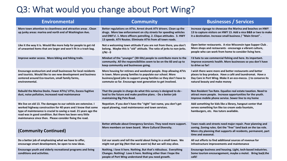## Q3: What would you change about Port Wing?

| <b>Environmental</b>                                                                                                                                                                                                                                                                                                           | <b>Community</b>                                                                                                                                                                                                                                                              | <b>Businesses / Services</b>                                                                                                                                                                                              |
|--------------------------------------------------------------------------------------------------------------------------------------------------------------------------------------------------------------------------------------------------------------------------------------------------------------------------------|-------------------------------------------------------------------------------------------------------------------------------------------------------------------------------------------------------------------------------------------------------------------------------|---------------------------------------------------------------------------------------------------------------------------------------------------------------------------------------------------------------------------|
| More town attention to cleanliness and attractive areas. Clean<br>up junky areas: marina and north end of Washington Ave.                                                                                                                                                                                                      | Better regulations on ATVs. Arrest drunk ATV drivers. Clean up the<br>drugs. More law enforcement on city streets for speeding vehicles<br>and DWI's!. 1. More officers patrolling. 2. Clique attitudes. 3. HWY<br>13 speeds. ATV Routes. Eliminate ATVs from all town roads. | Increase signage to showcase the Marina and beaches on HWY<br>13 to capture visitors on HWY 13. Add a nice B&B or two to make<br>it a destination. Increase small business / "Main Street".                               |
| Like it the way it is. Would like more help for people to get rid<br>of unwanted items that are larger and won't fit in a trash bag.                                                                                                                                                                                           | Not a welcoming town attitude if you are not from there, you don't<br>belong. Maybe this is "old" attitude. The ratio of jerks to non-jerks.<br>$J/NJ - 0$                                                                                                                    | Open better restaurants. A nice Wisconsin type Supper Club.<br>More shops and restaurants - encourage a vibrant culture,<br>people who can work from home to consider living here.                                        |
| Improve water access. More biking and hiking trails.                                                                                                                                                                                                                                                                           | Mindset of the "younger" (30-50s) people to contribute more to the<br>community. All the responsibilities seem to be on the 60 and up to<br>keep community and businesses going.                                                                                              | I'd hate to see commercial fishing end here. Its important.<br>Improve economic health. More businesses so you don't have<br>to drive so far!                                                                             |
| Encourage ecotourism and small businesses for local residents<br>and tourists. Would like to see new development and business<br>centered around Eco-tourism, small family farms,<br>environmental.                                                                                                                            | More housing for retirees and weekend people. Stop allowing ATVs<br>in town. More young families to populate our school. More<br>business/good jobs to support young families so they don't have to<br>commute so far. Encourage next generation to get involved.             | I wish there were more and better restaurants and better<br>places to buy produce. Have a café and laundromat. Have a<br>Day Care in Port Wing. Make it an eco-mecca. :) to conserve its<br>natural beauty and make money |
| Rebuild the Marina Docks. Fewer ATVs/ UTVs, Excess fugitive<br>dust, noise pollution, increased road maintenance                                                                                                                                                                                                               | That the people in charge do what this survey is designed to do -<br>lead to the future and make positive plans. - Do a better job<br>maintaining Big Pete Road.                                                                                                              | Non Resident Tax Rate. Equalize real estate taxation. Need to<br>attract more people. Increase opportunities for the youth.<br>Improve mobile phone service. Sewer line to my home                                        |
| We live on old 13. The damages to our vehicle are extensive. I<br>worked highway construction for 40 years and I know that some<br>type of maintenance is crucial to saving a road. 21 years ago the<br>road was in good condition. But there has been very little<br>maintenance since then. Please consider fixing the road. | Nepotism. If you don't have the "right" last name, you don't get<br>equal plowing, road maintenance and town services.                                                                                                                                                        | Add something for kids like a library, hangout center that<br>serves something fun like ice cream soda fountain,<br>hamburgers, etc. Has tutors available.                                                                |
| (Community Continued)                                                                                                                                                                                                                                                                                                          | Better attitude about Emergency Services. They need more support.<br>More members on town board. More Cultural Diversity.                                                                                                                                                     | Town roads and streets need major repair. Poor planning and<br>zoning. Zoning rules. Get the "free" land back on the tax role.<br>More city planning that supports all residents, permanent, part<br>time and seasonal.   |
| Do a better job of emphasizing what we have to offer,<br>encourage smart development, be open to new ideas.                                                                                                                                                                                                                    | List our assets and tell the world about living in a small town. We<br>might not get big (Not that we want to) But we will stay alive.                                                                                                                                        | All out efforts to find additional sources of revenue for<br>infrastructure improvements and maintenance                                                                                                                  |
| Encourage youth and elderly recreational programs and living<br>conditions and activities.                                                                                                                                                                                                                                     | Nothing. I love it here. Nothing. But that's ridiculous. Everything<br>Changes. Nothing! Love it here. Nothing other than I hope the<br>people of Port Wing understand that you need growth.                                                                                  | Encourage business and housing. Light, tech-based industries.<br>Some tourism encouragement, maybe a motel. Bring back the<br>café!                                                                                       |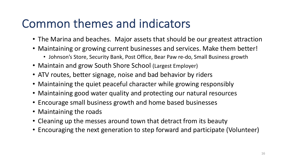## Common themes and indicators

- The Marina and beaches. Major assets that should be our greatest attraction
- Maintaining or growing current businesses and services. Make them better!
	- Johnson's Store, Security Bank, Post Office, Bear Paw re-do, Small Business growth
- Maintain and grow South Shore School (Largest Employer)
- ATV routes, better signage, noise and bad behavior by riders
- Maintaining the quiet peaceful character while growing responsibly
- Maintaining good water quality and protecting our natural resources
- Encourage small business growth and home based businesses
- Maintaining the roads
- Cleaning up the messes around town that detract from its beauty
- Encouraging the next generation to step forward and participate (Volunteer)